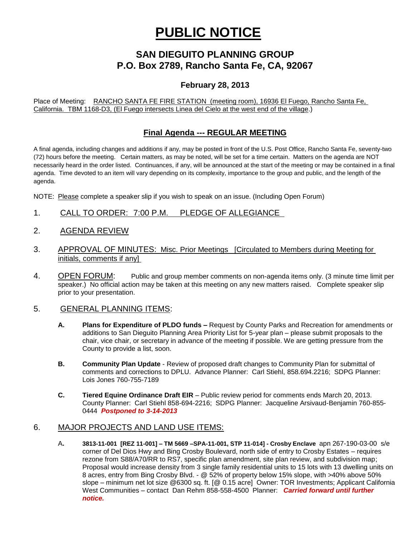# **PUBLIC NOTICE**

## **SAN DIEGUITO PLANNING GROUP P.O. Box 2789, Rancho Santa Fe, CA, 92067**

## **February 28, 2013**

Place of Meeting: RANCHO SANTA FE FIRE STATION (meeting room), 16936 El Fuego, Rancho Santa Fe, California. TBM 1168-D3, (El Fuego intersects Linea del Cielo at the west end of the village.)

### **Final Agenda --- REGULAR MEETING**

A final agenda, including changes and additions if any, may be posted in front of the U.S. Post Office, Rancho Santa Fe, seventy-two (72) hours before the meeting. Certain matters, as may be noted, will be set for a time certain. Matters on the agenda are NOT necessarily heard in the order listed. Continuances, if any, will be announced at the start of the meeting or may be contained in a final agenda. Time devoted to an item will vary depending on its complexity, importance to the group and public, and the length of the agenda.

NOTE: Please complete a speaker slip if you wish to speak on an issue. (Including Open Forum)

- 1. CALL TO ORDER: 7:00 P.M. PLEDGE OF ALLEGIANCE
- 2. AGENDA REVIEW
- 3. APPROVAL OF MINUTES: Misc. Prior Meetings [Circulated to Members during Meeting for initials, comments if any]
- 4. OPEN FORUM: Public and group member comments on non-agenda items only. (3 minute time limit per speaker.) No official action may be taken at this meeting on any new matters raised. Complete speaker slip prior to your presentation.

#### 5. GENERAL PLANNING ITEMS:

- **A. Plans for Expenditure of PLDO funds –** Request by County Parks and Recreation for amendments or additions to San Dieguito Planning Area Priority List for 5-year plan – please submit proposals to the chair, vice chair, or secretary in advance of the meeting if possible. We are getting pressure from the County to provide a list, soon.
- **B. Community Plan Update** Review of proposed draft changes to Community Plan for submittal of comments and corrections to DPLU. Advance Planner: Carl Stiehl, 858.694.2216; SDPG Planner: Lois Jones 760-755-7189
- **C. Tiered Equine Ordinance Draft EIR**  Public review period for comments ends March 20, 2013. County Planner: Carl Stiehl 858-694-2216; SDPG Planner: Jacqueline Arsivaud-Benjamin 760-855- 0444 *Postponed to 3-14-2013*

#### 6. MAJOR PROJECTS AND LAND USE ITEMS:

A**. 3813-11-001 [REZ 11-001] – TM 5669 –SPA-11-001, STP 11-014] - Crosby Enclave** apn 267-190-03-00 s/e corner of Del Dios Hwy and Bing Crosby Boulevard, north side of entry to Crosby Estates – requires rezone from S88/A70/RR to RS7, specific plan amendment, site plan review, and subdivision map; Proposal would increase density from 3 single family residential units to 15 lots with 13 dwelling units on 8 acres, entry from Bing Crosby Blvd. - @ 52% of property below 15% slope, with >40% above 50% slope – minimum net lot size @6300 sq. ft. [@ 0.15 acre] Owner: TOR Investments; Applicant California West Communities – contact Dan Rehm 858-558-4500 Planner: *Carried forward until further notice.*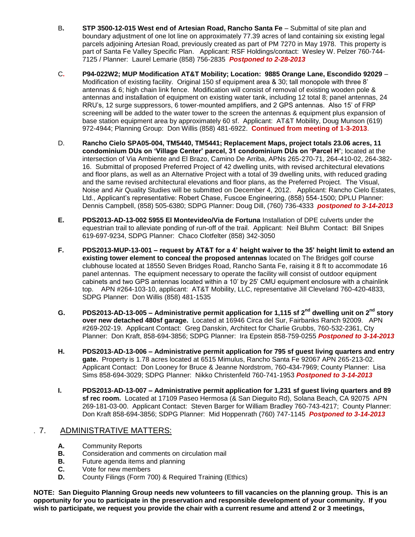- B**. STP 3500-12-015 West end of Artesian Road, Rancho Santa Fe** Submittal of site plan and boundary adjustment of one lot line on approximately 77.39 acres of land containing six existing legal parcels adjoining Artesian Road, previously created as part of PM 7270 in May 1978. This property is part of Santa Fe Valley Specific Plan.Applicant: RSF Holdings/contact: Wesley W. Pelzer 760-744- 7125 / Planner: Laurel Lemarie (858) 756-2835 *Postponed to 2-28-2013*
- C**. P94-022W2; MUP Modification AT&T Mobility; Location: 9885 Orange Lane, Escondido 92029** Modification of existing facility. Original 150 sf equipment area & 30; tall monopole with three 8' antennas & 6; high chain link fence. Modification will consist of removal of existing wooden pole & antennas and installation of equipment on existing water tank, including 12 total 8; panel antennas, 24 RRU's, 12 surge suppressors, 6 tower-mounted amplifiers, and 2 GPS antennas. Also 15' of FRP screening will be added to the water tower to the screen the antennas & equipment plus expansion of base station equipment area by approximately 60 sf. Applicant: AT&T Mobility, Doug Munson (619) 972-4944; Planning Group: Don Willis (858) 481-6922. **Continued from meeting of 1-3-2013**.
- D. **Rancho Cielo SPA05-004, TM5440, TM5441; Replacement Maps, project totals 23.06 acres, 11 condominium DUs on 'Village Center' parcel, 31 condominium DUs on 'Parcel H'**; located at the intersection of Via Ambiente and El Brazo, Camino De Arriba, APNs 265-270-71, 264-410-02, 264-382- 16. Submittal of proposed Preferred Project of 42 dwelling units, with revised architectural elevations and floor plans, as well as an Alternative Project with a total of 39 dwelling units, with reduced grading and the same revised architectural elevations and floor plans, as the Preferred Project. The Visual, Noise and Air Quality Studies will be submitted on December 4, 2012. Applicant: Rancho Cielo Estates, Ltd., Applicant's representative: Robert Chase, Fuscoe Engineering, (858) 554-1500; DPLU Planner: Dennis Campbell, (858) 505-6380; SDPG Planner: Doug Dill, (760) 736-4333 *postponed to 3-14-2013*
- **E. PDS2013-AD-13-002 5955 El Montevideo/Via de Fortuna** Installation of DPE culverts under the equestrian trail to alleviate ponding of run-off of the trail. Applicant: Neil Bluhm Contact: Bill Snipes 619-697-9234, SDPG Planner: Chaco Clotfelter (858) 342-3050
- **F. PDS2013-MUP-13-001 – request by AT&T for a 4' height waiver to the 35' height limit to extend an existing tower element to conceal the proposed antennas** located on The Bridges golf course clubhouse located at 18550 Seven Bridges Road, Rancho Santa Fe, raising it 8 ft to accommodate 16 panel antennas. The equipment necessary to operate the facility will consist of outdoor equipment cabinets and two GPS antennas located within a 10' by 25' CMU equipment enclosure with a chainlink top. APN #264-103-10, applicant: AT&T Mobility, LLC, representative Jill Cleveland 760-420-4833, SDPG Planner: Don Willis (858) 481-1535
- **G. PDS2013-AD-13-005 – Administrative permit application for 1,115 sf 2nd dwelling unit on 2nd story over new detached 480sf garage.** Located at 16946 Circa del Sur, Fairbanks Ranch 92009. APN #269-202-19. Applicant Contact: Greg Danskin, Architect for Charlie Grubbs, 760-532-2361, Cty Planner: Don Kraft, 858-694-3856; SDPG Planner: Ira Epstein 858-759-0255 *Postponed to 3-14-2013*
- **H. PDS2013-AD-13-006 – Administrative permit application for 795 sf guest living quarters and entry gate.** Property is 1.78 acres located at 6515 Mimulus, Rancho Santa Fe 92067 APN 265-213-02. Applicant Contact: Don Looney for Bruce & Jeanne Nordstrom, 760-434-7969; County Planner: Lisa Sims 858-694-3029; SDPG Planner: Nikko Christenfeld 760-741-1953 *Postponed to 3-14-2013*
- **I. PDS2013-AD-13-007 – Administrative permit application for 1,231 sf guest living quarters and 89 sf rec room.** Located at 17109 Paseo Hermosa (& San Dieguito Rd), Solana Beach, CA 92075 APN 269-181-03-00. Applicant Contact: Steven Barger for William Bradley 760-743-4217; County Planner: Don Kraft 858-694-3856; SDPG Planner: Mid Hoppenrath (760) 747-1145 *Postponed to 3-14-2013*

#### . 7. ADMINISTRATIVE MATTERS:

- **A.** Community Reports
- **B.** Consideration and comments on circulation mail
- **B.** Future agenda items and planning
- **C.** Vote for new members
- **D.** County Filings (Form 700) & Required Training (Ethics)

**NOTE: San Dieguito Planning Group needs new volunteers to fill vacancies on the planning group. This is an opportunity for you to participate in the preservation and responsible development of your community. If you wish to participate, we request you provide the chair with a current resume and attend 2 or 3 meetings,**